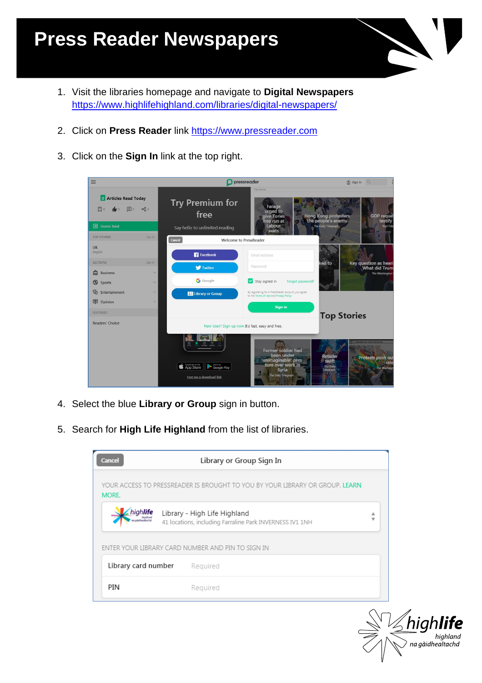## **Press Reader Newspapers**

- 1. Visit the libraries homepage and navigate to **Digital Newspapers** <https://www.highlifehighland.com/libraries/digital-newspapers/>
- 2. Click on **Press Reader** link [https://www.pressreader.com](https://www.pressreader.com/)
- 3. Click on the **Sign In** link at the top right.

| $\equiv$                                   |              |                                                                         | pressreader                                                                                                   | $\circ$ Sign in<br>$\Omega$                                                                     |
|--------------------------------------------|--------------|-------------------------------------------------------------------------|---------------------------------------------------------------------------------------------------------------|-------------------------------------------------------------------------------------------------|
| <b>0</b> Articles Read Today<br>同。<br>$+0$ | $\alpha_0^0$ | <b>Try Premium for</b><br>free                                          | <b>Top Stories</b><br>Farage<br>urged to<br>give Tories<br>free run at                                        | <b>Hong Kong protesters</b><br><b>GOP reque:</b><br>testify<br>"the people's enemy'             |
| <b>目</b> Home feed                         |              | Say hello to unlimited reading                                          | Labour<br>seats                                                                                               | The Daily Telegraph<br>Post Trib                                                                |
| <b>TOP STORIES</b>                         | See All      | Cancel                                                                  | <b>Welcome to PressReader</b>                                                                                 |                                                                                                 |
| UK<br>English                              |              | <b>Facebook</b>                                                         | Email address.                                                                                                |                                                                                                 |
| <b>SECTIONS</b>                            | See All      | <b>W</b> Twitter                                                        | Password                                                                                                      | ked to<br>Key question as heari<br><b>What did Trum</b>                                         |
| 侖<br><b>Business</b>                       | $\checkmark$ |                                                                         |                                                                                                               | The Washington                                                                                  |
| ⊛<br>Sports                                | $\checkmark$ | <b>G</b> Google                                                         | Stay signed in<br>Forgot password?                                                                            |                                                                                                 |
| $\mathbb{Q}_2$<br>Entertainment            | $\checkmark$ | <b>BE</b> Library or Group                                              | By registering for a PressReader account, you agree<br>to the Terms of Use and Privacy Policy                 |                                                                                                 |
| <b>甲</b> Opinion                           | $\checkmark$ |                                                                         | <b>Sign in</b>                                                                                                |                                                                                                 |
| <b>FEATURED</b>                            |              |                                                                         |                                                                                                               | <b>Top Stories</b>                                                                              |
| Readers' Choice                            |              |                                                                         | New User? Sign up now It's fast, easy and free.                                                               |                                                                                                 |
|                                            |              | Desertoad on the<br>Get it on<br>Google Play<br>Text me a download link | Former soldier had<br>been under<br>'unimaginable' pres-<br>sure over work in<br>Syria<br>The Daily Telegraph | <b>Retailer</b><br>Protests push out<br>swift<br>rale<br>The Daily<br>The Washingt<br>Telegraph |

- 4. Select the blue **Library or Group** sign in button.
- 5. Search for **High Life Highland** from the list of libraries.

| Library or Group Sign In<br><b>Cancel</b> |                                                                                          |        |  |  |  |  |  |
|-------------------------------------------|------------------------------------------------------------------------------------------|--------|--|--|--|--|--|
| MORE.                                     | YOUR ACCESS TO PRESSREADER IS BROUGHT TO YOU BY YOUR LIBRARY OR GROUP. LEARN             |        |  |  |  |  |  |
| niah <b>life</b>                          | Library - High Life Highland<br>41 locations, including Farraline Park INVERNESS IV1 1NH | А<br>w |  |  |  |  |  |
|                                           | ENTER YOUR LIBRARY CARD NUMBER AND PIN TO SIGN IN                                        |        |  |  |  |  |  |
| Library card number                       | Required                                                                                 |        |  |  |  |  |  |
| PIN                                       | Required                                                                                 |        |  |  |  |  |  |

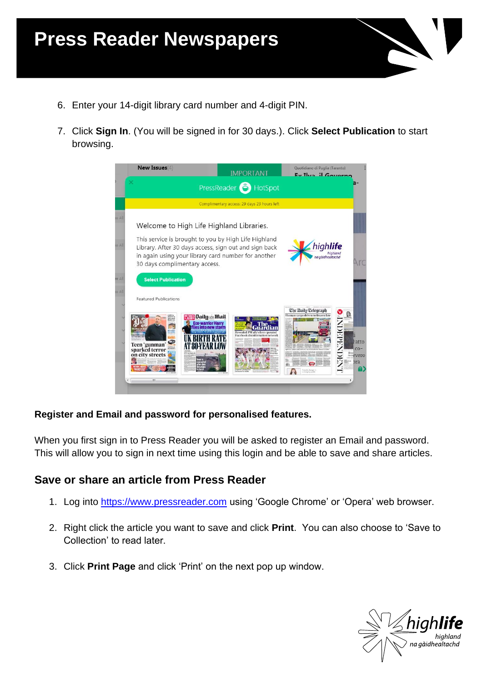- 6. Enter your 14-digit library card number and 4-digit PIN.
- 7. Click **Sign In**. (You will be signed in for 30 days.). Click **Select Publication** to start browsing.



#### **Register and Email and password for personalised features.**

When you first sign in to Press Reader you will be asked to register an Email and password. This will allow you to sign in next time using this login and be able to save and share articles.

### **Save or share an article from Press Reader**

- 1. Log into [https://www.pressreader.com](https://www.pressreader.com/) using 'Google Chrome' or 'Opera' web browser.
- 2. Right click the article you want to save and click **Print**. You can also choose to 'Save to Collection' to read later.
- 3. Click **Print Page** and click 'Print' on the next pop up window.

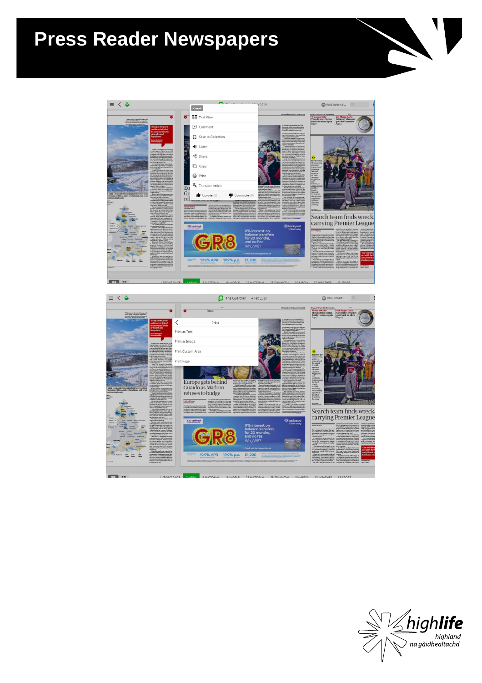## **Press Reader Newspapers**